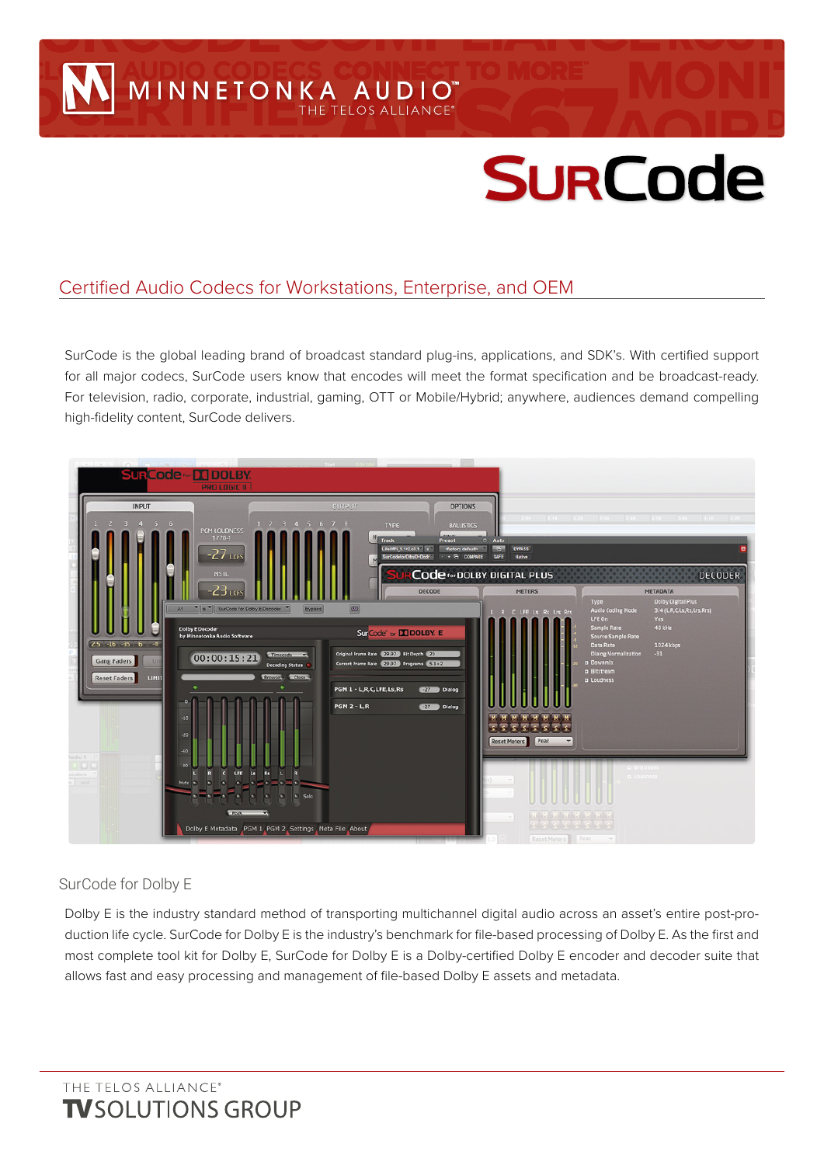MINNETONKA AUDIO

# **SURCode**

## Certified Audio Codecs for Workstations, Enterprise, and OEM

SurCode is the global leading brand of broadcast standard plug-ins, applications, and SDK's. With certified support for all major codecs, SurCode users know that encodes will meet the format specification and be broadcast-ready. For television, radio, corporate, industrial, gaming, OTT or Mobile/Hybrid; anywhere, audiences demand compelling high-fidelity content, SurCode delivers.



### SurCode for Dolby E

Dolby E is the industry standard method of transporting multichannel digital audio across an asset's entire post-production life cycle. SurCode for Dolby E is the industry's benchmark for file-based processing of Dolby E. As the first and most complete tool kit for Dolby E, SurCode for Dolby E is a Dolby-certified Dolby E encoder and decoder suite that allows fast and easy processing and management of file-based Dolby E assets and metadata.